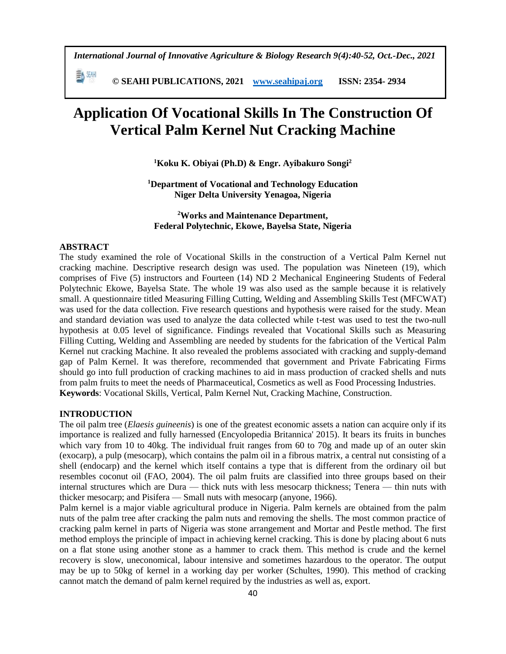勤細  **© SEAHI PUBLICATIONS, 2021 [www.seahipaj.org](http://www.seahipaj.org/) ISSN: 2354- 2934**

# **Application Of Vocational Skills In The Construction Of Vertical Palm Kernel Nut Cracking Machine**

**<sup>1</sup>Koku K. Obiyai (Ph.D) & Engr. Ayibakuro Songi<sup>2</sup>**

**<sup>1</sup>Department of Vocational and Technology Education Niger Delta University Yenagoa, Nigeria**

**<sup>2</sup>Works and Maintenance Department, Federal Polytechnic, Ekowe, Bayelsa State, Nigeria**

#### **ABSTRACT**

The study examined the role of Vocational Skills in the construction of a Vertical Palm Kernel nut cracking machine. Descriptive research design was used. The population was Nineteen (19), which comprises of Five (5) instructors and Fourteen (14) ND 2 Mechanical Engineering Students of Federal Polytechnic Ekowe, Bayelsa State. The whole 19 was also used as the sample because it is relatively small. A questionnaire titled Measuring Filling Cutting, Welding and Assembling Skills Test (MFCWAT) was used for the data collection. Five research questions and hypothesis were raised for the study. Mean and standard deviation was used to analyze the data collected while t-test was used to test the two-null hypothesis at 0.05 level of significance. Findings revealed that Vocational Skills such as Measuring Filling Cutting, Welding and Assembling are needed by students for the fabrication of the Vertical Palm Kernel nut cracking Machine. It also revealed the problems associated with cracking and supply-demand gap of Palm Kernel. It was therefore, recommended that government and Private Fabricating Firms should go into full production of cracking machines to aid in mass production of cracked shells and nuts from palm fruits to meet the needs of Pharmaceutical, Cosmetics as well as Food Processing Industries. **Keywords**: Vocational Skills, Vertical, Palm Kernel Nut, Cracking Machine, Construction.

# **INTRODUCTION**

The oil palm tree (*Elaesis guineenis*) is one of the greatest economic assets a nation can acquire only if its importance is realized and fully harnessed (Encyolopedia Britannica' 2015). It bears its fruits in bunches which vary from 10 to 40kg. The individual fruit ranges from 60 to 70g and made up of an outer skin (exocarp), a pulp (mesocarp), which contains the palm oil in a fibrous matrix, a central nut consisting of a shell (endocarp) and the kernel which itself contains a type that is different from the ordinary oil but resembles coconut oil (FAO, 2004). The oil palm fruits are classified into three groups based on their internal structures which are Dura — thick nuts with less mesocarp thickness; Tenera — thin nuts with thicker mesocarp; and Pisifera — Small nuts with mesocarp (anyone, 1966).

Palm kernel is a major viable agricultural produce in Nigeria. Palm kernels are obtained from the palm nuts of the palm tree after cracking the palm nuts and removing the shells. The most common practice of cracking palm kernel in parts of Nigeria was stone arrangement and Mortar and Pestle method. The first method employs the principle of impact in achieving kernel cracking. This is done by placing about 6 nuts on a flat stone using another stone as a hammer to crack them. This method is crude and the kernel recovery is slow, uneconomical, labour intensive and sometimes hazardous to the operator. The output may be up to 50kg of kernel in a working day per worker (Schultes, 1990). This method of cracking cannot match the demand of palm kernel required by the industries as well as, export.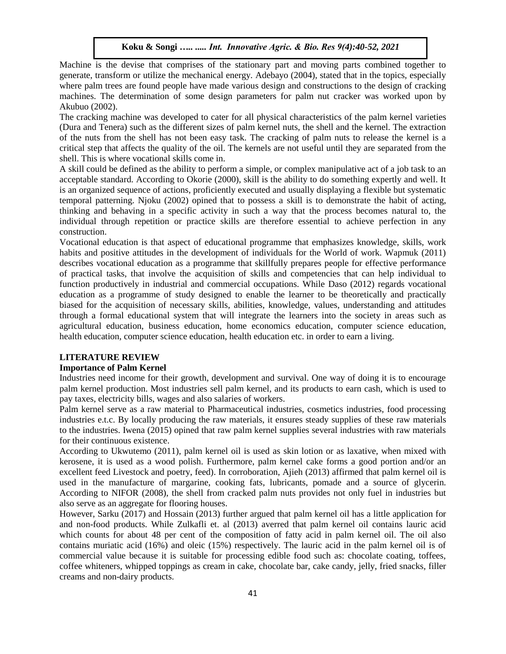Machine is the devise that comprises of the stationary part and moving parts combined together to generate, transform or utilize the mechanical energy. Adebayo (2004), stated that in the topics, especially where palm trees are found people have made various design and constructions to the design of cracking machines. The determination of some design parameters for palm nut cracker was worked upon by Akubuo (2002).

The cracking machine was developed to cater for all physical characteristics of the palm kernel varieties (Dura and Tenera) such as the different sizes of palm kernel nuts, the shell and the kernel. The extraction of the nuts from the shell has not been easy task. The cracking of palm nuts to release the kernel is a critical step that affects the quality of the oil. The kernels are not useful until they are separated from the shell. This is where vocational skills come in.

A skill could be defined as the ability to perform a simple, or complex manipulative act of a job task to an acceptable standard. According to Okorie (2000), skill is the ability to do something expertly and well. It is an organized sequence of actions, proficiently executed and usually displaying a flexible but systematic temporal patterning. Njoku (2002) opined that to possess a skill is to demonstrate the habit of acting, thinking and behaving in a specific activity in such a way that the process becomes natural to, the individual through repetition or practice skills are therefore essential to achieve perfection in any construction.

Vocational education is that aspect of educational programme that emphasizes knowledge, skills, work habits and positive attitudes in the development of individuals for the World of work. Wapmuk (2011) describes vocational education as a programme that skillfully prepares people for effective performance of practical tasks, that involve the acquisition of skills and competencies that can help individual to function productively in industrial and commercial occupations. While Daso (2012) regards vocational education as a programme of study designed to enable the learner to be theoretically and practically biased for the acquisition of necessary skills, abilities, knowledge, values, understanding and attitudes through a formal educational system that will integrate the learners into the society in areas such as agricultural education, business education, home economics education, computer science education, health education, computer science education, health education etc. in order to earn a living.

#### **LITERATURE REVIEW**

#### **Importance of Palm Kernel**

Industries need income for their growth, development and survival. One way of doing it is to encourage palm kernel production. Most industries sell palm kernel, and its products to earn cash, which is used to pay taxes, electricity bills, wages and also salaries of workers.

Palm kernel serve as a raw material to Pharmaceutical industries, cosmetics industries, food processing industries e.t.c. By locally producing the raw materials, it ensures steady supplies of these raw materials to the industries. Iwena (2015) opined that raw palm kernel supplies several industries with raw materials for their continuous existence.

According to Ukwutemo (2011), palm kernel oil is used as skin lotion or as laxative, when mixed with kerosene, it is used as a wood polish. Furthermore, palm kernel cake forms a good portion and/or an excellent feed Livestock and poetry, feed). In corroboration, Ajieh (2013) affirmed that palm kernel oil is used in the manufacture of margarine, cooking fats, lubricants, pomade and a source of glycerin. According to NIFOR (2008), the shell from cracked palm nuts provides not only fuel in industries but also serve as an aggregate for flooring houses.

However, Sarku (2017) and Hossain (2013) further argued that palm kernel oil has a little application for and non-food products. While Zulkafli et. al (2013) averred that palm kernel oil contains lauric acid which counts for about 48 per cent of the composition of fatty acid in palm kernel oil. The oil also contains muriatic acid (16%) and oleic (15%) respectively. The lauric acid in the palm kernel oil is of commercial value because it is suitable for processing edible food such as: chocolate coating, toffees, coffee whiteners, whipped toppings as cream in cake, chocolate bar, cake candy, jelly, fried snacks, filler creams and non-dairy products.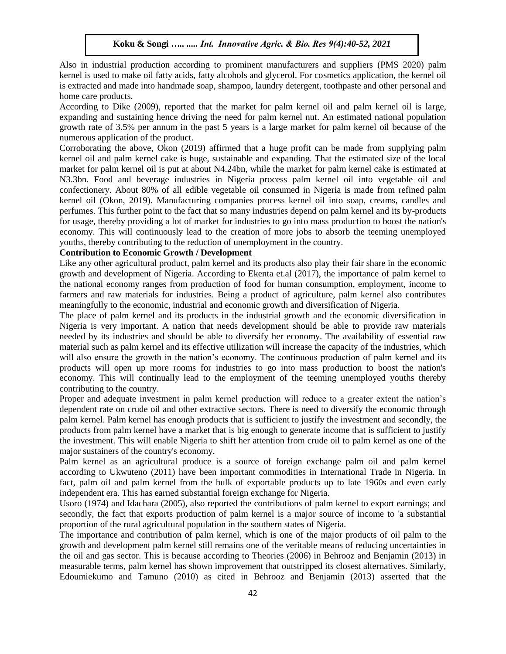Also in industrial production according to prominent manufacturers and suppliers (PMS 2020) palm kernel is used to make oil fatty acids, fatty alcohols and glycerol. For cosmetics application, the kernel oil is extracted and made into handmade soap, shampoo, laundry detergent, toothpaste and other personal and home care products.

According to Dike (2009), reported that the market for palm kernel oil and palm kernel oil is large, expanding and sustaining hence driving the need for palm kernel nut. An estimated national population growth rate of 3.5% per annum in the past 5 years is a large market for palm kernel oil because of the numerous application of the product.

Corroborating the above, Okon (2019) affirmed that a huge profit can be made from supplying palm kernel oil and palm kernel cake is huge, sustainable and expanding. That the estimated size of the local market for palm kernel oil is put at about N4.24bn, while the market for palm kernel cake is estimated at N3.3bn. Food and beverage industries in Nigeria process palm kernel oil into vegetable oil and confectionery. About 80% of all edible vegetable oil consumed in Nigeria is made from refined palm kernel oil (Okon, 2019). Manufacturing companies process kernel oil into soap, creams, candles and perfumes. This further point to the fact that so many industries depend on palm kernel and its by-products for usage, thereby providing a lot of market for industries to go into mass production to boost the nation's economy. This will continuously lead to the creation of more jobs to absorb the teeming unemployed youths, thereby contributing to the reduction of unemployment in the country.

# **Contribution to Economic Growth / Development**

Like any other agricultural product, palm kernel and its products also play their fair share in the economic growth and development of Nigeria. According to Ekenta et.al (2017), the importance of palm kernel to the national economy ranges from production of food for human consumption, employment, income to farmers and raw materials for industries. Being a product of agriculture, palm kernel also contributes meaningfully to the economic, industrial and economic growth and diversification of Nigeria.

The place of palm kernel and its products in the industrial growth and the economic diversification in Nigeria is very important. A nation that needs development should be able to provide raw materials needed by its industries and should be able to diversify her economy. The availability of essential raw material such as palm kernel and its effective utilization will increase the capacity of the industries, which will also ensure the growth in the nation's economy. The continuous production of palm kernel and its products will open up more rooms for industries to go into mass production to boost the nation's economy. This will continually lead to the employment of the teeming unemployed youths thereby contributing to the country.

Proper and adequate investment in palm kernel production will reduce to a greater extent the nation's dependent rate on crude oil and other extractive sectors. There is need to diversify the economic through palm kernel. Palm kernel has enough products that is sufficient to justify the investment and secondly, the products from palm kernel have a market that is big enough to generate income that is sufficient to justify the investment. This will enable Nigeria to shift her attention from crude oil to palm kernel as one of the major sustainers of the country's economy.

Palm kernel as an agricultural produce is a source of foreign exchange palm oil and palm kernel according to Ukwuteno (2011) have been important commodities in International Trade in Nigeria. In fact, palm oil and palm kernel from the bulk of exportable products up to late 1960s and even early independent era. This has earned substantial foreign exchange for Nigeria.

Usoro (1974) and Idachara (2005), also reported the contributions of palm kernel to export earnings; and secondly, the fact that exports production of palm kernel is a major source of income to 'a substantial proportion of the rural agricultural population in the southern states of Nigeria.

The importance and contribution of palm kernel, which is one of the major products of oil palm to the growth and development palm kernel still remains one of the veritable means of reducing uncertainties in the oil and gas sector. This is because according to Theories (2006) in Behrooz and Benjamin (2013) in measurable terms, palm kernel has shown improvement that outstripped its closest alternatives. Similarly, Edoumiekumo and Tamuno (2010) as cited in Behrooz and Benjamin (2013) asserted that the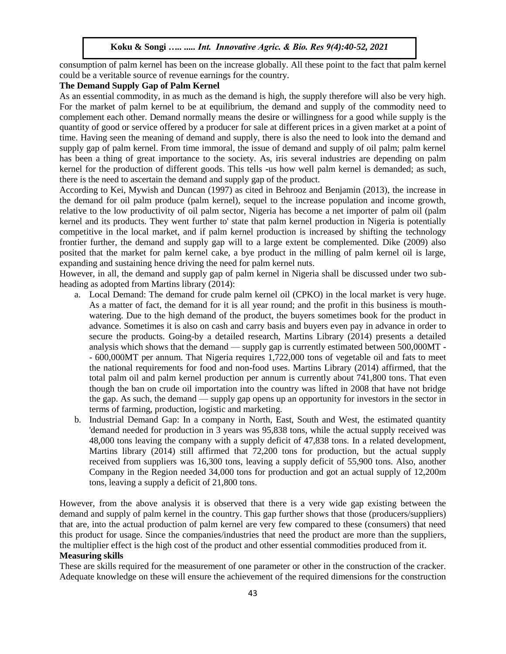consumption of palm kernel has been on the increase globally. All these point to the fact that palm kernel could be a veritable source of revenue earnings for the country.

## **The Demand Supply Gap of Palm Kernel**

As an essential commodity, in as much as the demand is high, the supply therefore will also be very high. For the market of palm kernel to be at equilibrium, the demand and supply of the commodity need to complement each other. Demand normally means the desire or willingness for a good while supply is the quantity of good or service offered by a producer for sale at different prices in a given market at a point of time. Having seen the meaning of demand and supply, there is also the need to look into the demand and supply gap of palm kernel. From time immoral, the issue of demand and supply of oil palm; palm kernel has been a thing of great importance to the society. As, iris several industries are depending on palm kernel for the production of different goods. This tells -us how well palm kernel is demanded; as such, there is the need to ascertain the demand and supply gap of the product.

According to Kei, Mywish and Duncan (1997) as cited in Behrooz and Benjamin (2013), the increase in the demand for oil palm produce (palm kernel), sequel to the increase population and income growth, relative to the low productivity of oil palm sector, Nigeria has become a net importer of palm oil (palm kernel and its products. They went further to' state that palm kernel production in Nigeria is potentially competitive in the local market, and if palm kernel production is increased by shifting the technology frontier further, the demand and supply gap will to a large extent be complemented. Dike (2009) also posited that the market for palm kernel cake, a bye product in the milling of palm kernel oil is large, expanding and sustaining hence driving the need for palm kernel nuts.

However, in all, the demand and supply gap of palm kernel in Nigeria shall be discussed under two subheading as adopted from Martins library (2014):

- a. Local Demand: The demand for crude palm kernel oil (CPKO) in the local market is very huge. As a matter of fact, the demand for it is all year round; and the profit in this business is mouthwatering. Due to the high demand of the product, the buyers sometimes book for the product in advance. Sometimes it is also on cash and carry basis and buyers even pay in advance in order to secure the products. Going-by a detailed research, Martins Library (2014) presents a detailed analysis which shows that the demand — supply gap is currently estimated between 500,000MT - - 600,000MT per annum. That Nigeria requires 1,722,000 tons of vegetable oil and fats to meet the national requirements for food and non-food uses. Martins Library (2014) affirmed, that the total palm oil and palm kernel production per annum is currently about 741,800 tons. That even though the ban on crude oil importation into the country was lifted in 2008 that have not bridge the gap. As such, the demand — supply gap opens up an opportunity for investors in the sector in terms of farming, production, logistic and marketing.
- b. Industrial Demand Gap: In a company in North, East, South and West, the estimated quantity 'demand needed for production in 3 years was 95,838 tons, while the actual supply received was 48,000 tons leaving the company with a supply deficit of 47,838 tons. In a related development, Martins library (2014) still affirmed that 72,200 tons for production, but the actual supply received from suppliers was 16,300 tons, leaving a supply deficit of 55,900 tons. Also, another Company in the Region needed 34,000 tons for production and got an actual supply of 12,200m tons, leaving a supply a deficit of 21,800 tons.

However, from the above analysis it is observed that there is a very wide gap existing between the demand and supply of palm kernel in the country. This gap further shows that those (producers/suppliers) that are, into the actual production of palm kernel are very few compared to these (consumers) that need this product for usage. Since the companies/industries that need the product are more than the suppliers, the multiplier effect is the high cost of the product and other essential commodities produced from it. **Measuring skills** 

These are skills required for the measurement of one parameter or other in the construction of the cracker. Adequate knowledge on these will ensure the achievement of the required dimensions for the construction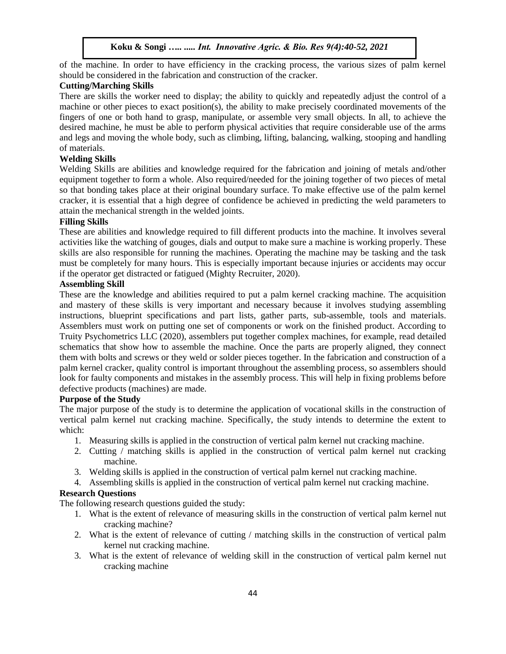of the machine. In order to have efficiency in the cracking process, the various sizes of palm kernel should be considered in the fabrication and construction of the cracker.

# **Cutting/Marching Skills**

There are skills the worker need to display; the ability to quickly and repeatedly adjust the control of a machine or other pieces to exact position(s), the ability to make precisely coordinated movements of the fingers of one or both hand to grasp, manipulate, or assemble very small objects. In all, to achieve the desired machine, he must be able to perform physical activities that require considerable use of the arms and legs and moving the whole body, such as climbing, lifting, balancing, walking, stooping and handling of materials.

# **Welding Skills**

Welding Skills are abilities and knowledge required for the fabrication and joining of metals and/other equipment together to form a whole. Also required/needed for the joining together of two pieces of metal so that bonding takes place at their original boundary surface. To make effective use of the palm kernel cracker, it is essential that a high degree of confidence be achieved in predicting the weld parameters to attain the mechanical strength in the welded joints.

## **Filling Skills**

These are abilities and knowledge required to fill different products into the machine. It involves several activities like the watching of gouges, dials and output to make sure a machine is working properly. These skills are also responsible for running the machines. Operating the machine may be tasking and the task must be completely for many hours. This is especially important because injuries or accidents may occur if the operator get distracted or fatigued (Mighty Recruiter, 2020).

## **Assembling Skill**

These are the knowledge and abilities required to put a palm kernel cracking machine. The acquisition and mastery of these skills is very important and necessary because it involves studying assembling instructions, blueprint specifications and part lists, gather parts, sub-assemble, tools and materials. Assemblers must work on putting one set of components or work on the finished product. According to Truity Psychometrics LLC (2020), assemblers put together complex machines, for example, read detailed schematics that show how to assemble the machine. Once the parts are properly aligned, they connect them with bolts and screws or they weld or solder pieces together. In the fabrication and construction of a palm kernel cracker, quality control is important throughout the assembling process, so assemblers should look for faulty components and mistakes in the assembly process. This will help in fixing problems before defective products (machines) are made.

## **Purpose of the Study**

The major purpose of the study is to determine the application of vocational skills in the construction of vertical palm kernel nut cracking machine. Specifically, the study intends to determine the extent to which:

- 1. Measuring skills is applied in the construction of vertical palm kernel nut cracking machine.
- 2. Cutting / matching skills is applied in the construction of vertical palm kernel nut cracking machine.
- 3. Welding skills is applied in the construction of vertical palm kernel nut cracking machine.
- 4. Assembling skills is applied in the construction of vertical palm kernel nut cracking machine.

# **Research Questions**

The following research questions guided the study:

- 1. What is the extent of relevance of measuring skills in the construction of vertical palm kernel nut cracking machine?
- 2. What is the extent of relevance of cutting / matching skills in the construction of vertical palm kernel nut cracking machine.
- 3. What is the extent of relevance of welding skill in the construction of vertical palm kernel nut cracking machine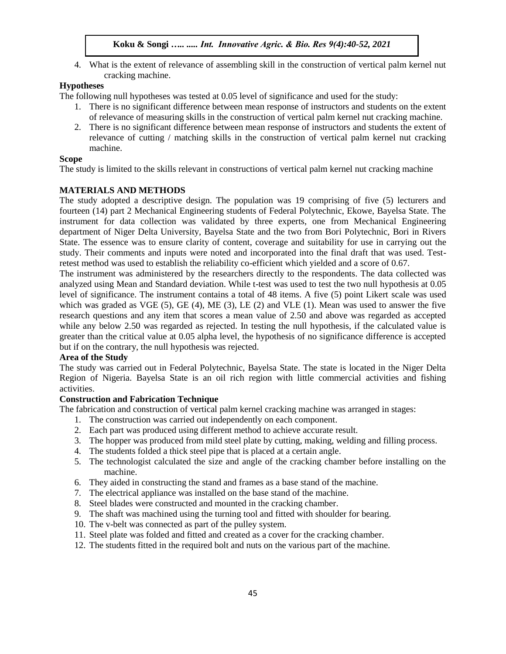4. What is the extent of relevance of assembling skill in the construction of vertical palm kernel nut cracking machine.

# **Hypotheses**

The following null hypotheses was tested at 0.05 level of significance and used for the study:

- 1. There is no significant difference between mean response of instructors and students on the extent of relevance of measuring skills in the construction of vertical palm kernel nut cracking machine.
- 2. There is no significant difference between mean response of instructors and students the extent of relevance of cutting / matching skills in the construction of vertical palm kernel nut cracking machine.

## **Scope**

The study is limited to the skills relevant in constructions of vertical palm kernel nut cracking machine

# **MATERIALS AND METHODS**

The study adopted a descriptive design. The population was 19 comprising of five (5) lecturers and fourteen (14) part 2 Mechanical Engineering students of Federal Polytechnic, Ekowe, Bayelsa State. The instrument for data collection was validated by three experts, one from Mechanical Engineering department of Niger Delta University, Bayelsa State and the two from Bori Polytechnic, Bori in Rivers State. The essence was to ensure clarity of content, coverage and suitability for use in carrying out the study. Their comments and inputs were noted and incorporated into the final draft that was used. Testretest method was used to establish the reliability co-efficient which yielded and a score of 0.67.

The instrument was administered by the researchers directly to the respondents. The data collected was analyzed using Mean and Standard deviation. While t-test was used to test the two null hypothesis at 0.05 level of significance. The instrument contains a total of 48 items. A five (5) point Likert scale was used which was graded as VGE  $(5)$ , GE  $(4)$ , ME  $(3)$ , LE  $(2)$  and VLE  $(1)$ . Mean was used to answer the five research questions and any item that scores a mean value of 2.50 and above was regarded as accepted while any below 2.50 was regarded as rejected. In testing the null hypothesis, if the calculated value is greater than the critical value at 0.05 alpha level, the hypothesis of no significance difference is accepted but if on the contrary, the null hypothesis was rejected.

## **Area of the Study**

The study was carried out in Federal Polytechnic, Bayelsa State. The state is located in the Niger Delta Region of Nigeria. Bayelsa State is an oil rich region with little commercial activities and fishing activities.

## **Construction and Fabrication Technique**

The fabrication and construction of vertical palm kernel cracking machine was arranged in stages:

- 1. The construction was carried out independently on each component.
- 2. Each part was produced using different method to achieve accurate result.
- 3. The hopper was produced from mild steel plate by cutting, making, welding and filling process.
- 4. The students folded a thick steel pipe that is placed at a certain angle.
- 5. The technologist calculated the size and angle of the cracking chamber before installing on the machine.
- 6. They aided in constructing the stand and frames as a base stand of the machine.
- 7. The electrical appliance was installed on the base stand of the machine.
- 8. Steel blades were constructed and mounted in the cracking chamber.
- 9. The shaft was machined using the turning tool and fitted with shoulder for bearing.
- 10. The v-belt was connected as part of the pulley system.
- 11. Steel plate was folded and fitted and created as a cover for the cracking chamber.
- 12. The students fitted in the required bolt and nuts on the various part of the machine.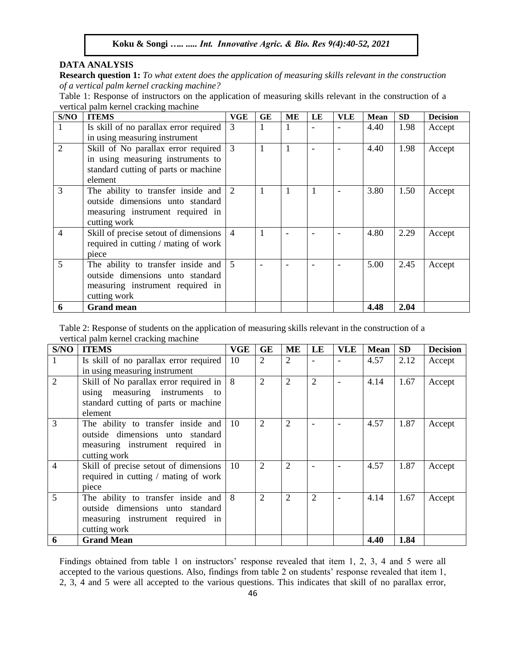# **DATA ANALYSIS**

**Research question 1:** *To what extent does the application of measuring skills relevant in the construction of a vertical palm kernel cracking machine?*

Table 1: Response of instructors on the application of measuring skills relevant in the construction of a vertical palm kernel cracking machine

| S/NO           | <b>ITEMS</b>                                         | VGE            | <b>GE</b> | MЕ | LE | <b>VLE</b> | <b>Mean</b> | <b>SD</b> | <b>Decision</b> |
|----------------|------------------------------------------------------|----------------|-----------|----|----|------------|-------------|-----------|-----------------|
|                | Is skill of no parallax error required               | 3              |           | Ι. |    |            | 4.40        | 1.98      | Accept          |
|                | in using measuring instrument                        |                |           |    |    |            |             |           |                 |
| $\overline{2}$ | Skill of No parallax error required                  | 3              |           | 1  |    |            | 4.40        | 1.98      | Accept          |
|                | in using measuring instruments to                    |                |           |    |    |            |             |           |                 |
|                | standard cutting of parts or machine                 |                |           |    |    |            |             |           |                 |
|                | element                                              |                |           |    |    |            |             |           |                 |
| 3              | The ability to transfer inside and $\vert$ 2         |                |           |    |    |            | 3.80        | 1.50      | Accept          |
|                | outside dimensions unto standard                     |                |           |    |    |            |             |           |                 |
|                | measuring instrument required in                     |                |           |    |    |            |             |           |                 |
|                | cutting work                                         |                |           |    |    |            |             |           |                 |
| $\overline{4}$ | Skill of precise setout of dimensions                | $\overline{4}$ |           |    |    |            | 4.80        | 2.29      | Accept          |
|                | required in cutting / mating of work                 |                |           |    |    |            |             |           |                 |
|                | piece                                                |                |           |    |    |            |             |           |                 |
| 5              | The ability to transfer inside and $\vert 5 \rangle$ |                |           |    |    |            | 5.00        | 2.45      | Accept          |
|                | outside dimensions unto standard                     |                |           |    |    |            |             |           |                 |
|                | measuring instrument required in                     |                |           |    |    |            |             |           |                 |
|                | cutting work                                         |                |           |    |    |            |             |           |                 |
| 6              | <b>Grand mean</b>                                    |                |           |    |    |            | 4.48        | 2.04      |                 |

Table 2: Response of students on the application of measuring skills relevant in the construction of a vertical palm kernel cracking machine

| S/NO           | <b>ITEMS</b>                             | VGE           | GE             | ME             | LE             | <b>VLE</b> | <b>Mean</b> | <b>SD</b> | <b>Decision</b> |
|----------------|------------------------------------------|---------------|----------------|----------------|----------------|------------|-------------|-----------|-----------------|
| 1              | Is skill of no parallax error required   | 10            | 2              | $\overline{2}$ |                |            | 4.57        | 2.12      | Accept          |
|                | in using measuring instrument            |               |                |                |                |            |             |           |                 |
| $\overline{2}$ | Skill of No parallax error required in   | 8             | $\overline{2}$ | $\overline{2}$ | $\overline{2}$ |            | 4.14        | 1.67      | Accept          |
|                | using measuring instruments<br>to        |               |                |                |                |            |             |           |                 |
|                | standard cutting of parts or machine     |               |                |                |                |            |             |           |                 |
|                | element                                  |               |                |                |                |            |             |           |                 |
| 3              | The ability to transfer inside and       | <sup>10</sup> | 2              | $\overline{2}$ |                |            | 4.57        | 1.87      | Accept          |
|                | outside dimensions unto standard         |               |                |                |                |            |             |           |                 |
|                | measuring instrument required in         |               |                |                |                |            |             |           |                 |
|                | cutting work                             |               |                |                |                |            |             |           |                 |
| 4              | Skill of precise setout of dimensions    | -10           | 2              | $\overline{2}$ |                |            | 4.57        | 1.87      | Accept          |
|                | required in cutting / mating of work     |               |                |                |                |            |             |           |                 |
|                | piece                                    |               |                |                |                |            |             |           |                 |
| 5              | The ability to transfer inside and $ 8 $ |               | $\overline{2}$ | $\overline{2}$ | $\overline{2}$ |            | 4.14        | 1.67      | Accept          |
|                | outside dimensions unto standard         |               |                |                |                |            |             |           |                 |
|                | measuring instrument required in         |               |                |                |                |            |             |           |                 |
|                | cutting work                             |               |                |                |                |            |             |           |                 |
| 6              | <b>Grand Mean</b>                        |               |                |                |                |            | 4.40        | 1.84      |                 |

Findings obtained from table 1 on instructors' response revealed that item 1, 2, 3, 4 and 5 were all accepted to the various questions. Also, findings from table 2 on students' response revealed that item 1, 2, 3, 4 and 5 were all accepted to the various questions. This indicates that skill of no parallax error,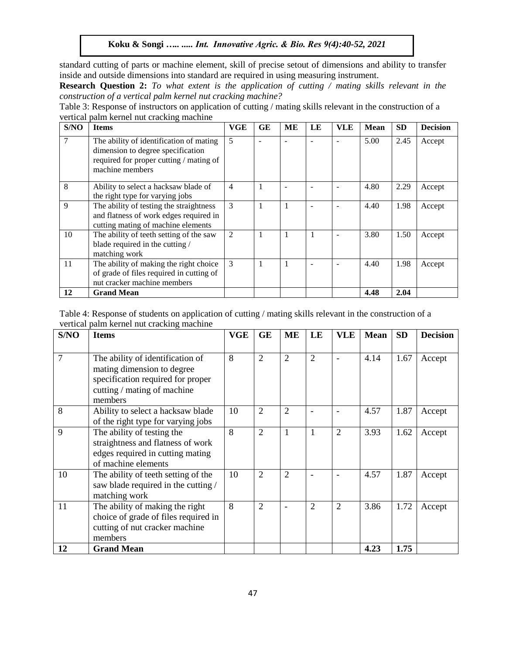standard cutting of parts or machine element, skill of precise setout of dimensions and ability to transfer inside and outside dimensions into standard are required in using measuring instrument.

**Research Question 2:** *To what extent is the application of cutting / mating skills relevant in the construction of a vertical palm kernel nut cracking machine?*

Table 3: Response of instructors on application of cutting / mating skills relevant in the construction of a vertical palm kernel nut cracking machine

| S/NO | <b>Items</b>                                                                                                                               | <b>VGE</b> | <b>GE</b> | MЕ | LE | <b>VLE</b> | Mean | <b>SD</b> | <b>Decision</b> |
|------|--------------------------------------------------------------------------------------------------------------------------------------------|------------|-----------|----|----|------------|------|-----------|-----------------|
|      | The ability of identification of mating<br>dimension to degree specification<br>required for proper cutting / mating of<br>machine members | 5          |           |    |    |            | 5.00 | 2.45      | Accept          |
| 8    | Ability to select a hacksaw blade of<br>the right type for varying jobs                                                                    | 4          | 1         | ۰  |    |            | 4.80 | 2.29      | Accept          |
| 9    | The ability of testing the straightness<br>and flatness of work edges required in<br>cutting mating of machine elements                    | 3          | 1         |    |    |            | 4.40 | 1.98      | Accept          |
| 10   | The ability of teeth setting of the saw<br>blade required in the cutting /<br>matching work                                                | 2          | 1         |    |    |            | 3.80 | 1.50      | Accept          |
| 11   | The ability of making the right choice<br>of grade of files required in cutting of<br>nut cracker machine members                          | 3          | 1         |    |    |            | 4.40 | 1.98      | Accept          |
| 12   | <b>Grand Mean</b>                                                                                                                          |            |           |    |    |            | 4.48 | 2.04      |                 |

| Table 4: Response of students on application of cutting / mating skills relevant in the construction of a |  |
|-----------------------------------------------------------------------------------------------------------|--|
| vertical palm kernel nut cracking machine                                                                 |  |

| S/NO | <b>Items</b>                                                     | <b>VGE</b>              | <b>GE</b>      | ME             | LE             | <b>VLE</b>     | <b>Mean</b> | <b>SD</b> | <b>Decision</b> |
|------|------------------------------------------------------------------|-------------------------|----------------|----------------|----------------|----------------|-------------|-----------|-----------------|
|      |                                                                  |                         |                |                |                |                |             |           |                 |
| 7    | The ability of identification of                                 | 8                       | $\overline{2}$ | $\overline{2}$ | $\overline{2}$ |                | 4.14        | 1.67      | Accept          |
|      | mating dimension to degree                                       |                         |                |                |                |                |             |           |                 |
|      | specification required for proper<br>cutting / mating of machine |                         |                |                |                |                |             |           |                 |
|      | members                                                          |                         |                |                |                |                |             |           |                 |
| 8    | Ability to select a hacksaw blade                                | 10                      | $\overline{2}$ | $\overline{2}$ |                |                | 4.57        | 1.87      | Accept          |
|      | of the right type for varying jobs                               |                         |                |                |                |                |             |           |                 |
| 9    | The ability of testing the                                       | $\mathsf{\overline{8}}$ | $\overline{c}$ |                | 1              | $\overline{2}$ | 3.93        | 1.62      | Accept          |
|      | straightness and flatness of work                                |                         |                |                |                |                |             |           |                 |
|      | edges required in cutting mating                                 |                         |                |                |                |                |             |           |                 |
|      | of machine elements                                              |                         |                |                |                |                |             |           |                 |
| 10   | The ability of teeth setting of the                              | 10                      | $\overline{2}$ | $\overline{2}$ |                |                | 4.57        | 1.87      | Accept          |
|      | saw blade required in the cutting /                              |                         |                |                |                |                |             |           |                 |
|      | matching work                                                    |                         |                |                |                |                |             |           |                 |
| 11   | The ability of making the right                                  | 8                       | 2              |                | $\overline{2}$ | $\overline{2}$ | 3.86        | 1.72      | Accept          |
|      | choice of grade of files required in                             |                         |                |                |                |                |             |           |                 |
|      | cutting of nut cracker machine                                   |                         |                |                |                |                |             |           |                 |
|      | members                                                          |                         |                |                |                |                |             |           |                 |
| 12   | <b>Grand Mean</b>                                                |                         |                |                |                |                | 4.23        | 1.75      |                 |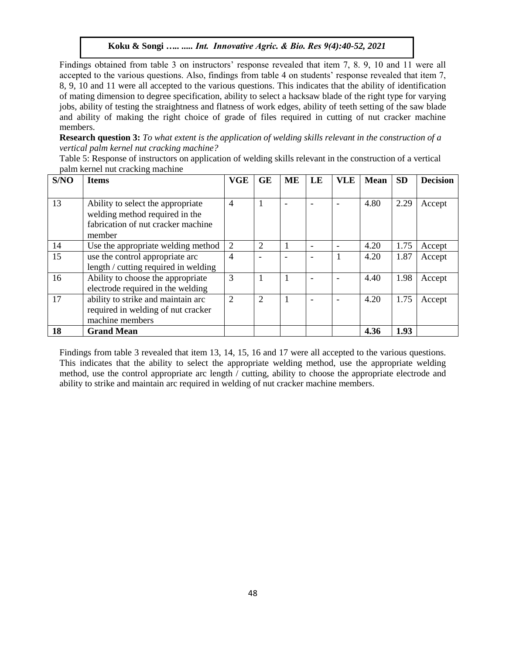Findings obtained from table 3 on instructors' response revealed that item 7, 8. 9, 10 and 11 were all accepted to the various questions. Also, findings from table 4 on students' response revealed that item 7, 8, 9, 10 and 11 were all accepted to the various questions. This indicates that the ability of identification of mating dimension to degree specification, ability to select a hacksaw blade of the right type for varying jobs, ability of testing the straightness and flatness of work edges, ability of teeth setting of the saw blade and ability of making the right choice of grade of files required in cutting of nut cracker machine members.

**Research question 3:** *To what extent is the application of welding skills relevant in the construction of a vertical palm kernel nut cracking machine?*

Table 5: Response of instructors on application of welding skills relevant in the construction of a vertical palm kernel nut cracking machine

| S/NO | <b>Items</b>                         | <b>VGE</b>     | <b>GE</b>      | <b>ME</b> | LE | <b>VLE</b> | <b>Mean</b> | <b>SD</b> | <b>Decision</b> |
|------|--------------------------------------|----------------|----------------|-----------|----|------------|-------------|-----------|-----------------|
|      |                                      |                |                |           |    |            |             |           |                 |
| 13   | Ability to select the appropriate    | $\overline{4}$ | $\mathbf{1}$   |           |    |            | 4.80        | 2.29      | Accept          |
|      | welding method required in the       |                |                |           |    |            |             |           |                 |
|      | fabrication of nut cracker machine   |                |                |           |    |            |             |           |                 |
|      | member                               |                |                |           |    |            |             |           |                 |
| 14   | Use the appropriate welding method   | $\overline{2}$ | $\overline{2}$ |           |    |            | 4.20        | 1.75      | Accept          |
| 15   | use the control appropriate arc      | $\overline{4}$ |                |           |    |            | 4.20        | 1.87      | Accept          |
|      | length / cutting required in welding |                |                |           |    |            |             |           |                 |
| 16   | Ability to choose the appropriate    | 3              | 1              |           |    |            | 4.40        | 1.98      | Accept          |
|      | electrode required in the welding    |                |                |           |    |            |             |           |                 |
| 17   | ability to strike and maintain arc   | $\overline{2}$ | $\overline{2}$ |           |    |            | 4.20        | 1.75      | Accept          |
|      | required in welding of nut cracker   |                |                |           |    |            |             |           |                 |
|      | machine members                      |                |                |           |    |            |             |           |                 |
| 18   | <b>Grand Mean</b>                    |                |                |           |    |            | 4.36        | 1.93      |                 |

Findings from table 3 revealed that item 13, 14, 15, 16 and 17 were all accepted to the various questions. This indicates that the ability to select the appropriate welding method, use the appropriate welding method, use the control appropriate arc length / cutting, ability to choose the appropriate electrode and ability to strike and maintain arc required in welding of nut cracker machine members.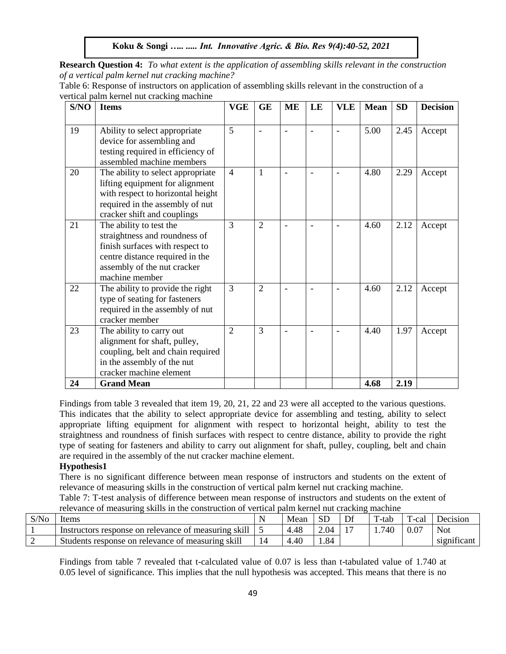**Research Question 4:** *To what extent is the application of assembling skills relevant in the construction of a vertical palm kernel nut cracking machine?*

| Table 6: Response of instructors on application of assembling skills relevant in the construction of a |  |  |
|--------------------------------------------------------------------------------------------------------|--|--|
| vertical palm kernel nut cracking machine                                                              |  |  |

| S/NO | <b>Items</b>                      | <b>VGE</b>     | <b>GE</b>      | <b>ME</b> | LE                       | <b>VLE</b> | <b>Mean</b> | <b>SD</b> | <b>Decision</b> |
|------|-----------------------------------|----------------|----------------|-----------|--------------------------|------------|-------------|-----------|-----------------|
|      |                                   |                |                |           |                          |            |             |           |                 |
| 19   | Ability to select appropriate     | 5              |                |           | $\overline{a}$           |            | 5.00        | 2.45      | Accept          |
|      | device for assembling and         |                |                |           |                          |            |             |           |                 |
|      | testing required in efficiency of |                |                |           |                          |            |             |           |                 |
|      | assembled machine members         |                |                |           |                          |            |             |           |                 |
| 20   | The ability to select appropriate | $\overline{4}$ | 1              |           | $\overline{\phantom{a}}$ |            | 4.80        | 2.29      | Accept          |
|      | lifting equipment for alignment   |                |                |           |                          |            |             |           |                 |
|      | with respect to horizontal height |                |                |           |                          |            |             |           |                 |
|      | required in the assembly of nut   |                |                |           |                          |            |             |           |                 |
|      | cracker shift and couplings       |                |                |           |                          |            |             |           |                 |
| 21   | The ability to test the           | 3              | $\overline{2}$ |           | $\overline{a}$           |            | 4.60        | 2.12      | Accept          |
|      | straightness and roundness of     |                |                |           |                          |            |             |           |                 |
|      | finish surfaces with respect to   |                |                |           |                          |            |             |           |                 |
|      | centre distance required in the   |                |                |           |                          |            |             |           |                 |
|      | assembly of the nut cracker       |                |                |           |                          |            |             |           |                 |
|      | machine member                    |                |                |           |                          |            |             |           |                 |
| 22   | The ability to provide the right  | 3              | $\overline{2}$ |           |                          |            | 4.60        | 2.12      | Accept          |
|      | type of seating for fasteners     |                |                |           |                          |            |             |           |                 |
|      | required in the assembly of nut   |                |                |           |                          |            |             |           |                 |
|      | cracker member                    |                |                |           |                          |            |             |           |                 |
| 23   | The ability to carry out          | $\overline{2}$ | 3              |           |                          |            | 4.40        | 1.97      | Accept          |
|      | alignment for shaft, pulley,      |                |                |           |                          |            |             |           |                 |
|      | coupling, belt and chain required |                |                |           |                          |            |             |           |                 |
|      | in the assembly of the nut        |                |                |           |                          |            |             |           |                 |
|      | cracker machine element           |                |                |           |                          |            |             |           |                 |
| 24   | <b>Grand Mean</b>                 |                |                |           |                          |            | 4.68        | 2.19      |                 |

Findings from table 3 revealed that item 19, 20, 21, 22 and 23 were all accepted to the various questions. This indicates that the ability to select appropriate device for assembling and testing, ability to select appropriate lifting equipment for alignment with respect to horizontal height, ability to test the straightness and roundness of finish surfaces with respect to centre distance, ability to provide the right type of seating for fasteners and ability to carry out alignment for shaft, pulley, coupling, belt and chain are required in the assembly of the nut cracker machine element.

# **Hypothesis1**

There is no significant difference between mean response of instructors and students on the extent of relevance of measuring skills in the construction of vertical palm kernel nut cracking machine.

Table 7: T-test analysis of difference between mean response of instructors and students on the extent of relevance of measuring skills in the construction of vertical palm kernel nut cracking machine

| S/No | tems                                                     | Mean | <b>SL</b> | Dt | T-tab | $T$ -cal | Decision               |
|------|----------------------------------------------------------|------|-----------|----|-------|----------|------------------------|
|      | Instructors response on relevance of measuring skill     | 4.48 | $\Omega$  |    | .740  | 0.07     | <b>Not</b>             |
|      | <b>Students response on relevance of measuring skill</b> | 4.40 | .84       |    |       |          | $\cdot$<br>significant |

Findings from table 7 revealed that t-calculated value of 0.07 is less than t-tabulated value of 1.740 at 0.05 level of significance. This implies that the null hypothesis was accepted. This means that there is no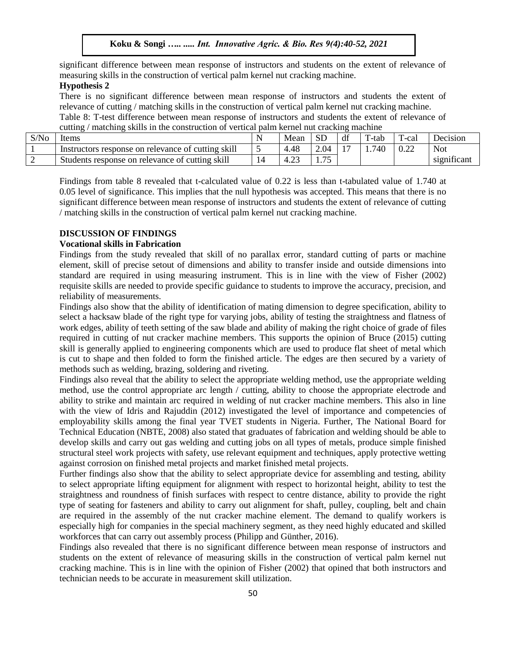significant difference between mean response of instructors and students on the extent of relevance of measuring skills in the construction of vertical palm kernel nut cracking machine.

## **Hypothesis 2**

There is no significant difference between mean response of instructors and students the extent of relevance of cutting / matching skills in the construction of vertical palm kernel nut cracking machine. Table 8: T-test difference between mean response of instructors and students the extent of relevance of cutting / matching skills in the construction of vertical palm kernel nut cracking machine

| S/No | Items                                              | N | Mean | <b>SD</b>  | df | $T$ -tab | $\mathbf{r}$<br>l -cal | <b>Jecision</b>        |
|------|----------------------------------------------------|---|------|------------|----|----------|------------------------|------------------------|
|      | Instructors response on relevance of cutting skill |   | 4.48 | 2.04       |    | 740      | 0.22                   | <b>Not</b>             |
| ∼    | Students response on relevance of cutting skill    |   | 4.2  | $\pi$<br>. |    |          |                        | $\cdot$<br>significant |

Findings from table 8 revealed that t-calculated value of 0.22 is less than t-tabulated value of 1.740 at 0.05 level of significance. This implies that the null hypothesis was accepted. This means that there is no significant difference between mean response of instructors and students the extent of relevance of cutting / matching skills in the construction of vertical palm kernel nut cracking machine.

## **DISCUSSION OF FINDINGS**

## **Vocational skills in Fabrication**

Findings from the study revealed that skill of no parallax error, standard cutting of parts or machine element, skill of precise setout of dimensions and ability to transfer inside and outside dimensions into standard are required in using measuring instrument. This is in line with the view of Fisher (2002) requisite skills are needed to provide specific guidance to students to improve the accuracy, precision, and reliability of measurements.

Findings also show that the ability of identification of mating dimension to degree specification, ability to select a hacksaw blade of the right type for varying jobs, ability of testing the straightness and flatness of work edges, ability of teeth setting of the saw blade and ability of making the right choice of grade of files required in cutting of nut cracker machine members. This supports the opinion of Bruce (2015) cutting skill is generally applied to engineering components which are used to produce flat sheet of metal which is cut to shape and then folded to form the finished article. The edges are then secured by a variety of methods such as welding, brazing, soldering and riveting.

Findings also reveal that the ability to select the appropriate welding method, use the appropriate welding method, use the control appropriate arc length / cutting, ability to choose the appropriate electrode and ability to strike and maintain arc required in welding of nut cracker machine members. This also in line with the view of Idris and Rajuddin (2012) investigated the level of importance and competencies of employability skills among the final year TVET students in Nigeria. Further, The National Board for Technical Education (NBTE, 2008) also stated that graduates of fabrication and welding should be able to develop skills and carry out gas welding and cutting jobs on all types of metals, produce simple finished structural steel work projects with safety, use relevant equipment and techniques, apply protective wetting against corrosion on finished metal projects and market finished metal projects.

Further findings also show that the ability to select appropriate device for assembling and testing, ability to select appropriate lifting equipment for alignment with respect to horizontal height, ability to test the straightness and roundness of finish surfaces with respect to centre distance, ability to provide the right type of seating for fasteners and ability to carry out alignment for shaft, pulley, coupling, belt and chain are required in the assembly of the nut cracker machine element. The demand to qualify workers is especially high for companies in the special machinery segment, as they need highly educated and skilled workforces that can carry out assembly process (Philipp and Günther, 2016).

Findings also revealed that there is no significant difference between mean response of instructors and students on the extent of relevance of measuring skills in the construction of vertical palm kernel nut cracking machine. This is in line with the opinion of Fisher (2002) that opined that both instructors and technician needs to be accurate in measurement skill utilization.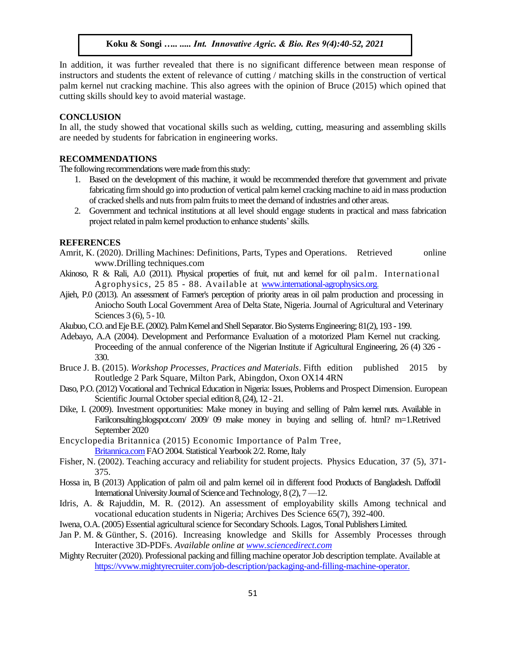In addition, it was further revealed that there is no significant difference between mean response of instructors and students the extent of relevance of cutting / matching skills in the construction of vertical palm kernel nut cracking machine. This also agrees with the opinion of Bruce (2015) which opined that cutting skills should key to avoid material wastage.

## **CONCLUSION**

In all, the study showed that vocational skills such as welding, cutting, measuring and assembling skills are needed by students for fabrication in engineering works.

## **RECOMMENDATIONS**

The following recommendations were made from this study:

- 1. Based on the development of this machine, it would be recommended therefore that government and private fabricating firm should go into production of vertical palm kernel cracking machine to aid in mass production of cracked shells and nuts from palm fruits to meet the demand of industries and other areas.
- 2. Government and technical institutions at all level should engage students in practical and mass fabrication project related in palm kernel production to enhance students' skills.

#### **REFERENCES**

- Amrit, K. (2020). Drilling Machines: Definitions, Parts, Types and Operations. Retrieved online www.Drilling techniques.com
- Akinoso, R & Rali, A.0 (2011). Physical properties of fruit, nut and kernel for oil palm. International Agrophysics, 25 85 - 88. Available at [www.international-agrophysics.org.](http://www.international-agrophysics.org/)
- Ajieh, P.0 (2013). An assessment of Farmer's perception of priority areas in oil palm production and processing in Aniocho South Local Government Area of Delta State, Nigeria. Journal of Agricultural and Veterinary Sciences 3 (6), 5 - 10.
- Akubuo, C.O. and Eje B.E. (2002). Palm Kernel and Shell Separator. Bio Systems Engineering; 81(2), 193 -199.
- Adebayo, A.A (2004). Development and Performance Evaluation of a motorized Plam Kernel nut cracking. Proceeding of the annual conference of the Nigerian Institute if Agricultural Engineering, 26 (4) 326 - 330.
- Bruce J. B. (2015). *Workshop Processes, Practices and Materials*. Fifth edition published 2015 by Routledge 2 Park Square, Milton Park, Abingdon, Oxon OX14 4RN
- Daso, P.O. (2012) Vocational and Technical Education in Nigeria: Issues, Problems and Prospect Dimension. European Scientific Journal October special edition 8, (24), 12 -21.
- Dike, I. (2009). Investment opportunities: Make money in buying and selling of Palm kernel nuts. Available in Farilconsulting.blogspot.com/ 2009/ 09 make money in buying and selling of. html? m=1.Retrived September 2020
- Encyclopedia Britannica (2015) Economic Importance of Palm Tree, [Britannica.com](http://britannica.com/)FAO 2004. Statistical Yearbook 2/2. Rome, Italy
- Fisher, N. (2002). Teaching accuracy and reliability for student projects. Physics Education, 37 (5), 371- 375.
- Hossa in, B (2013) Application of palm oil and palm kernel oil in different food Products of Bangladesh. Daffodil International University Journal of Science and Technology, 8 (2), 7 —12.
- Idris, A. & Rajuddin, M. R. (2012). An assessment of employability skills Among technical and vocational education students in Nigeria; Archives Des Science 65(7), 392-400.
- Iwena, O.A. (2005) Essential agricultural science for Secondary Schools. Lagos, Tonal Publishers Limited.
- Jan P. M. & Günther, S. (2016). Increasing knowledge and Skills for Assembly Processes through Interactive 3D-PDFs. *Available online at [www.sciencedirect.com](http://www.sciencedirect.com/)*
- Mighty Recruiter (2020). Professional packing and filling machine operator Job description template. Available at [https://vvww.mightyrecruiter.com/job-description/packaging-and-filling-machine-operator.](https://vvww.mightyrecruiter.com/job-description/packaging-and-filling-machine-operator)